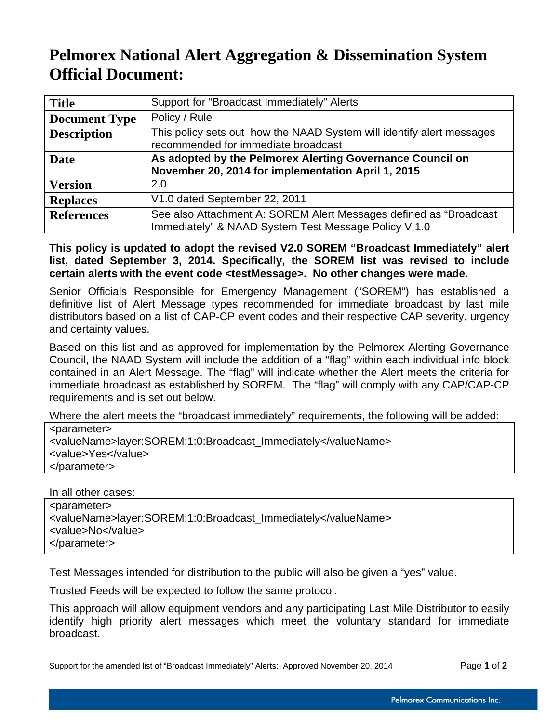# **Pelmorex National Alert Aggregation & Dissemination System Official Document:**

| <b>Title</b>         | Support for "Broadcast Immediately" Alerts                                                                                 |
|----------------------|----------------------------------------------------------------------------------------------------------------------------|
| <b>Document Type</b> | Policy / Rule                                                                                                              |
| <b>Description</b>   | This policy sets out how the NAAD System will identify alert messages<br>recommended for immediate broadcast               |
| Date                 | As adopted by the Pelmorex Alerting Governance Council on<br>November 20, 2014 for implementation April 1, 2015            |
| <b>Version</b>       | 2.0                                                                                                                        |
| <b>Replaces</b>      | V1.0 dated September 22, 2011                                                                                              |
| <b>References</b>    | See also Attachment A: SOREM Alert Messages defined as "Broadcast"<br>Immediately" & NAAD System Test Message Policy V 1.0 |

**This policy is updated to adopt the revised V2.0 SOREM "Broadcast Immediately" alert list, dated September 3, 2014. Specifically, the SOREM list was revised to include certain alerts with the event code <testMessage>. No other changes were made.** 

Senior Officials Responsible for Emergency Management ("SOREM") has established a definitive list of Alert Message types recommended for immediate broadcast by last mile distributors based on a list of CAP-CP event codes and their respective CAP severity, urgency and certainty values.

Based on this list and as approved for implementation by the Pelmorex Alerting Governance Council, the NAAD System will include the addition of a "flag" within each individual info block contained in an Alert Message. The "flag" will indicate whether the Alert meets the criteria for immediate broadcast as established by SOREM. The "flag" will comply with any CAP/CAP-CP requirements and is set out below.

Where the alert meets the "broadcast immediately" requirements, the following will be added:

| <parameter></parameter>                                      |  |
|--------------------------------------------------------------|--|
| <valuename>layer:SOREM:1:0:Broadcast_Immediately</valuename> |  |
| <value>Yes</value>                                           |  |
| $<$ /parameter $>$                                           |  |

In all other cases:

| <parameter></parameter>                                      |
|--------------------------------------------------------------|
| <valuename>layer:SOREM:1:0:Broadcast_Immediately</valuename> |
| <value>No</value>                                            |
|                                                              |
|                                                              |

Test Messages intended for distribution to the public will also be given a "yes" value.

Trusted Feeds will be expected to follow the same protocol.

This approach will allow equipment vendors and any participating Last Mile Distributor to easily identify high priority alert messages which meet the voluntary standard for immediate broadcast.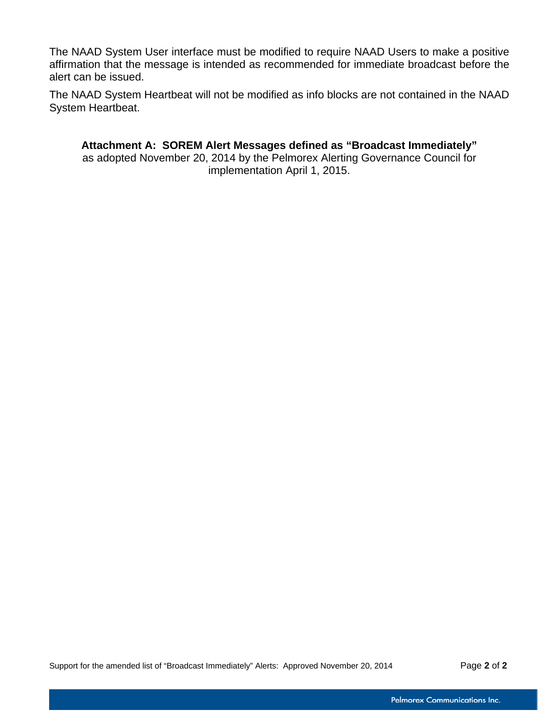The NAAD System User interface must be modified to require NAAD Users to make a positive affirmation that the message is intended as recommended for immediate broadcast before the alert can be issued.

The NAAD System Heartbeat will not be modified as info blocks are not contained in the NAAD System Heartbeat.

**Attachment A: SOREM Alert Messages defined as "Broadcast Immediately"**  as adopted November 20, 2014 by the Pelmorex Alerting Governance Council for implementation April 1, 2015.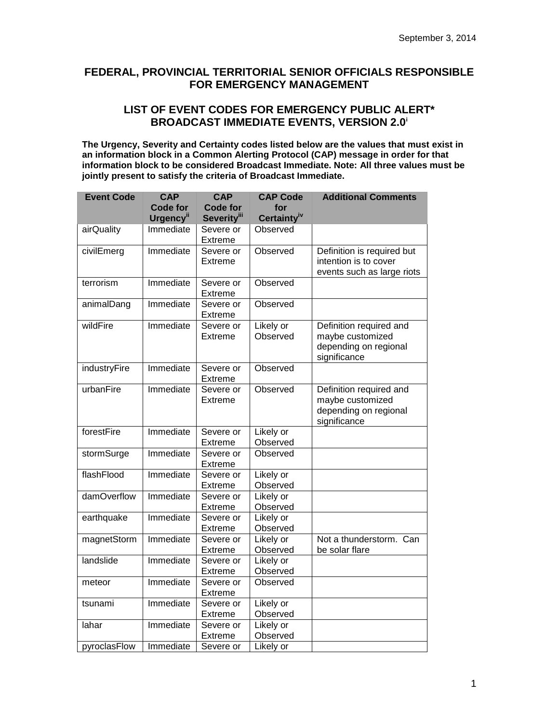## **FEDERAL, PROVINCIAL TERRITORIAL SENIOR OFFICIALS RESPONSIBLE FOR EMERGENCY MANAGEMENT**

## **LIST OF EVENT CODES FOR EMERGENCY PUBLIC ALERT\* BROADCAST IMMEDIATE EVENTS, VERSION 2.0[i](#page-7-0)**

**The Urgency, Severity and Certainty codes listed below are the values that must exist in an information block in a Common Alerting Protocol (CAP) message in order for that information block to be considered Broadcast Immediate. Note: All three values must be jointly present to satisfy the criteria of Broadcast Immediate.**

| <b>Event Code</b>   | <b>CAP</b>                               | <b>CAP</b><br><b>CAP Code</b>  |                                | <b>Additional Comments</b>                                                           |
|---------------------|------------------------------------------|--------------------------------|--------------------------------|--------------------------------------------------------------------------------------|
|                     | <b>Code for</b><br>Urgency <sup>ii</sup> | <b>Code for</b><br>Severityiii | for<br>Certainty <sup>iv</sup> |                                                                                      |
| airQuality          | Immediate                                | Severe or<br>Extreme           | Observed                       |                                                                                      |
| civilEmerg          | Immediate                                | Severe or<br>Extreme           | Observed                       | Definition is required but<br>intention is to cover<br>events such as large riots    |
| terrorism           | Immediate                                | Severe or<br>Extreme           | Observed                       |                                                                                      |
| animalDang          | Immediate                                | Severe or<br>Extreme           | Observed                       |                                                                                      |
| wildFire            | Immediate                                | Severe or<br>Extreme           | Likely or<br>Observed          | Definition required and<br>maybe customized<br>depending on regional<br>significance |
| <i>industryFire</i> | Immediate                                | Severe or<br><b>Extreme</b>    | Observed                       |                                                                                      |
| urbanFire           | Immediate                                | Severe or<br>Extreme           | Observed                       | Definition required and<br>maybe customized<br>depending on regional<br>significance |
| forestFire          | Immediate                                | Severe or<br>Extreme           | Likely or<br>Observed          |                                                                                      |
| stormSurge          | Immediate                                | Severe or<br>Extreme           | Observed                       |                                                                                      |
| flashFlood          | Immediate                                | Severe or<br>Extreme           | Likely or<br>Observed          |                                                                                      |
| damOverflow         | Immediate                                | Severe or<br>Extreme           | Likely or<br>Observed          |                                                                                      |
| earthquake          | Immediate                                | Severe or<br>Extreme           | Likely or<br>Observed          |                                                                                      |
| magnetStorm         | Immediate                                | Severe or<br>Extreme           | Likely or<br>Observed          | Not a thunderstorm. Can<br>be solar flare                                            |
| landslide           | Immediate                                | Severe or<br>Extreme           | Likely or<br>Observed          |                                                                                      |
| meteor              | Immediate                                | Severe or<br><b>Extreme</b>    | Observed                       |                                                                                      |
| tsunami             | Immediate                                | Severe or<br>Extreme           | Likely or<br>Observed          |                                                                                      |
| lahar               | Immediate                                | Severe or<br>Extreme           | Likely or<br>Observed          |                                                                                      |
| pyroclasFlow        | Immediate                                | Severe or                      | Likely or                      |                                                                                      |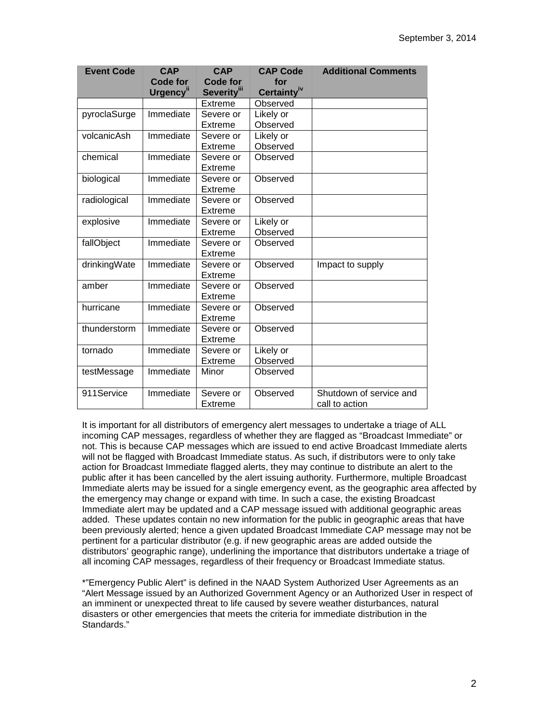| <b>Event Code</b> | <b>CAP</b><br>Code for<br><b>Urgency</b> <sup>ii</sup> | <b>CAP</b><br><b>Code for</b><br>Severity <sup>iii</sup> | <b>CAP Code</b><br>for<br>Certainty <sup>iv</sup> | <b>Additional Comments</b>                |
|-------------------|--------------------------------------------------------|----------------------------------------------------------|---------------------------------------------------|-------------------------------------------|
|                   |                                                        | Extreme                                                  | Observed                                          |                                           |
| pyroclaSurge      | Immediate                                              | Severe or                                                | Likely or                                         |                                           |
|                   |                                                        | Extreme                                                  | Observed                                          |                                           |
| volcanicAsh       | Immediate                                              | Severe or                                                | Likely or                                         |                                           |
|                   |                                                        | <b>Extreme</b>                                           | Observed                                          |                                           |
| chemical          | Immediate                                              | Severe or                                                | Observed                                          |                                           |
|                   |                                                        | <b>Extreme</b>                                           |                                                   |                                           |
| biological        | Immediate                                              | Severe or                                                | Observed                                          |                                           |
|                   |                                                        | Extreme                                                  |                                                   |                                           |
| radiological      | Immediate                                              | Severe or                                                | Observed                                          |                                           |
|                   |                                                        | Extreme                                                  |                                                   |                                           |
| explosive         | Immediate                                              | Severe or                                                | Likely or                                         |                                           |
|                   |                                                        | Extreme                                                  | Observed                                          |                                           |
| fallObject        | Immediate                                              | Severe or                                                | Observed                                          |                                           |
|                   |                                                        | Extreme                                                  |                                                   |                                           |
| drinkingWate      | Immediate                                              | Severe or                                                | Observed                                          | Impact to supply                          |
|                   |                                                        | <b>Extreme</b>                                           |                                                   |                                           |
| amber             | Immediate                                              | Severe or                                                | Observed                                          |                                           |
|                   |                                                        | Extreme                                                  |                                                   |                                           |
| hurricane         | Immediate                                              | Severe or                                                | Observed                                          |                                           |
|                   |                                                        | Extreme                                                  |                                                   |                                           |
| thunderstorm      | Immediate                                              | Severe or                                                | Observed                                          |                                           |
|                   |                                                        | Extreme                                                  |                                                   |                                           |
| tornado           | Immediate                                              | Severe or                                                | Likely or                                         |                                           |
|                   |                                                        | <b>Extreme</b>                                           | Observed                                          |                                           |
| testMessage       | Immediate                                              | Minor                                                    | Observed                                          |                                           |
| 911Service        | Immediate                                              | Severe or<br><b>Extreme</b>                              | Observed                                          | Shutdown of service and<br>call to action |

It is important for all distributors of emergency alert messages to undertake a triage of ALL incoming CAP messages, regardless of whether they are flagged as "Broadcast Immediate" or not. This is because CAP messages which are issued to end active Broadcast Immediate alerts will not be flagged with Broadcast Immediate status. As such, if distributors were to only take action for Broadcast Immediate flagged alerts, they may continue to distribute an alert to the public after it has been cancelled by the alert issuing authority. Furthermore, multiple Broadcast Immediate alerts may be issued for a single emergency event, as the geographic area affected by the emergency may change or expand with time. In such a case, the existing Broadcast Immediate alert may be updated and a CAP message issued with additional geographic areas added. These updates contain no new information for the public in geographic areas that have been previously alerted; hence a given updated Broadcast Immediate CAP message may not be pertinent for a particular distributor (e.g. if new geographic areas are added outside the distributors' geographic range), underlining the importance that distributors undertake a triage of all incoming CAP messages, regardless of their frequency or Broadcast Immediate status.

\*"Emergency Public Alert" is defined in the NAAD System Authorized User Agreements as an "Alert Message issued by an Authorized Government Agency or an Authorized User in respect of an imminent or unexpected threat to life caused by severe weather disturbances, natural disasters or other emergencies that meets the criteria for immediate distribution in the Standards."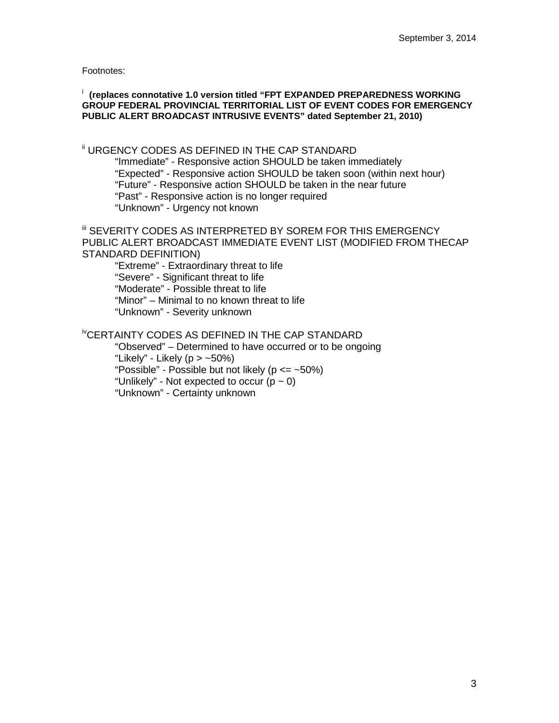Footnotes:

#### <sup>i</sup> **(replaces connotative 1.0 version titled "FPT EXPANDED PREPAREDNESS WORKING GROUP FEDERAL PROVINCIAL TERRITORIAL LIST OF EVENT CODES FOR EMERGENCY PUBLIC ALERT BROADCAST INTRUSIVE EVENTS" dated September 21, 2010)**

ii URGENCY CODES AS DEFINED IN THE CAP STANDARD "Immediate" - Responsive action SHOULD be taken immediately "Expected" - Responsive action SHOULD be taken soon (within next hour) "Future" - Responsive action SHOULD be taken in the near future "Past" - Responsive action is no longer required "Unknown" - Urgency not known

**III SEVERITY CODES AS INTERPRETED BY SOREM FOR THIS EMERGENCY** PUBLIC ALERT BROADCAST IMMEDIATE EVENT LIST (MODIFIED FROM THECAP STANDARD DEFINITION)

"Extreme" - Extraordinary threat to life "Severe" - Significant threat to life "Moderate" - Possible threat to life "Minor" – Minimal to no known threat to life "Unknown" - Severity unknown

### ivCERTAINTY CODES AS DEFINED IN THE CAP STANDARD

"Observed" – Determined to have occurred or to be ongoing "Likely" - Likely ( $p > -50\%$ ) "Possible" - Possible but not likely ( $p \le -50\%$ ) "Unlikely" - Not expected to occur  $(p \sim 0)$ "Unknown" - Certainty unknown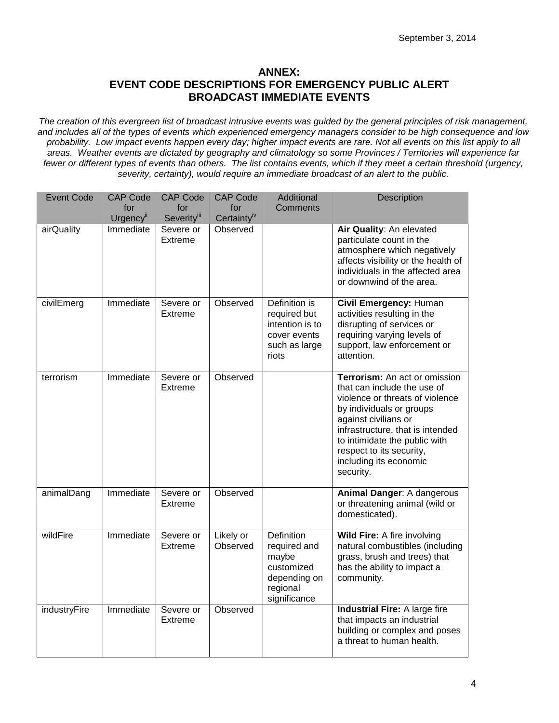## **ANNEX: EVENT CODE DESCRIPTIONS FOR EMERGENCY PUBLIC ALERT BROADCAST IMMEDIATE EVENTS**

*The creation of this evergreen list of broadcast intrusive events was guided by the general principles of risk management, and includes all of the types of events which experienced emergency managers consider to be high consequence and low*  probability. Low impact events happen every day; higher impact events are rare. Not all events on this list apply to all *areas. Weather events are dictated by geography and climatology so some Provinces / Territories will experience far fewer or different types of events than others. The list contains events, which if they meet a certain threshold (urgency, severity, certainty), would require an immediate broadcast of an alert to the public.*

| <b>Event Code</b> | <b>CAP Code</b><br>for<br>Urgency <sup>ii</sup> | <b>CAP Code</b><br>for<br>Severityiii | <b>CAP Code</b><br>for<br>Certainty <sup>iv</sup> | Additional<br>Comments                                                                               | Description                                                                                                                                                                                                                                                                                 |
|-------------------|-------------------------------------------------|---------------------------------------|---------------------------------------------------|------------------------------------------------------------------------------------------------------|---------------------------------------------------------------------------------------------------------------------------------------------------------------------------------------------------------------------------------------------------------------------------------------------|
| airQuality        | Immediate                                       | Severe or<br>Extreme                  | Observed                                          |                                                                                                      | Air Quality: An elevated<br>particulate count in the<br>atmosphere which negatively<br>affects visibility or the health of<br>individuals in the affected area<br>or downwind of the area.                                                                                                  |
| civilEmerg        | Immediate                                       | Severe or<br>Extreme                  | Observed                                          | Definition is<br>required but<br>intention is to<br>cover events<br>such as large<br>riots           | Civil Emergency: Human<br>activities resulting in the<br>disrupting of services or<br>requiring varying levels of<br>support, law enforcement or<br>attention.                                                                                                                              |
| terrorism         | Immediate                                       | Severe or<br>Extreme                  | Observed                                          |                                                                                                      | Terrorism: An act or omission<br>that can include the use of<br>violence or threats of violence<br>by individuals or groups<br>against civilians or<br>infrastructure, that is intended<br>to intimidate the public with<br>respect to its security,<br>including its economic<br>security. |
| animalDang        | Immediate                                       | Severe or<br>Extreme                  | Observed                                          |                                                                                                      | Animal Danger: A dangerous<br>or threatening animal (wild or<br>domesticated).                                                                                                                                                                                                              |
| wildFire          | Immediate                                       | Severe or<br><b>Extreme</b>           | Likely or<br>Observed                             | <b>Definition</b><br>required and<br>maybe<br>customized<br>depending on<br>regional<br>significance | Wild Fire: A fire involving<br>natural combustibles (including<br>grass, brush and trees) that<br>has the ability to impact a<br>community.                                                                                                                                                 |
| industryFire      | Immediate                                       | Severe or<br>Extreme                  | Observed                                          |                                                                                                      | <b>Industrial Fire: A large fire</b><br>that impacts an industrial<br>building or complex and poses<br>a threat to human health.                                                                                                                                                            |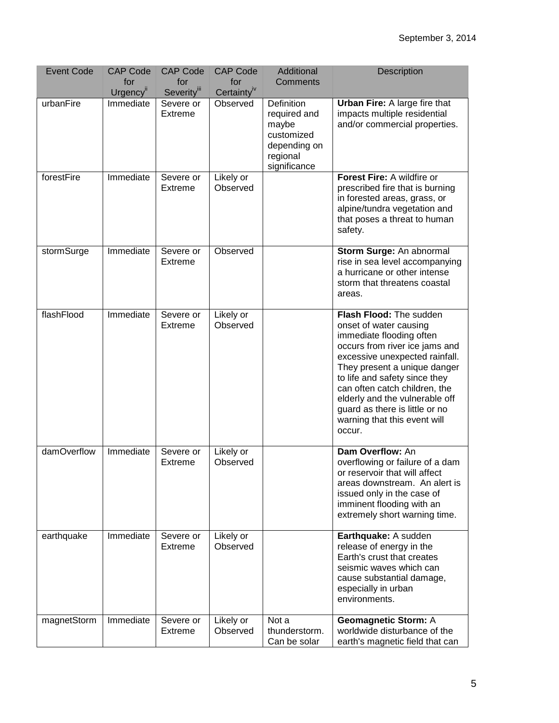| <b>Event Code</b> | <b>CAP Code</b><br>for | <b>CAP Code</b><br>for      | <b>CAP Code</b><br>for  | Additional<br>Comments                                                                        | <b>Description</b>                                                                                                                                                                                                                                                                                                                                                |
|-------------------|------------------------|-----------------------------|-------------------------|-----------------------------------------------------------------------------------------------|-------------------------------------------------------------------------------------------------------------------------------------------------------------------------------------------------------------------------------------------------------------------------------------------------------------------------------------------------------------------|
|                   | Urgency <sup>ii</sup>  | Severityiii                 | Certainty <sup>iv</sup> |                                                                                               |                                                                                                                                                                                                                                                                                                                                                                   |
| urbanFire         | Immediate              | Severe or<br>Extreme        | Observed                | Definition<br>required and<br>maybe<br>customized<br>depending on<br>regional<br>significance | <b>Urban Fire: A large fire that</b><br>impacts multiple residential<br>and/or commercial properties.                                                                                                                                                                                                                                                             |
| forestFire        | Immediate              | Severe or<br>Extreme        | Likely or<br>Observed   |                                                                                               | Forest Fire: A wildfire or<br>prescribed fire that is burning<br>in forested areas, grass, or<br>alpine/tundra vegetation and<br>that poses a threat to human<br>safety.                                                                                                                                                                                          |
| stormSurge        | Immediate              | Severe or<br><b>Extreme</b> | Observed                |                                                                                               | Storm Surge: An abnormal<br>rise in sea level accompanying<br>a hurricane or other intense<br>storm that threatens coastal<br>areas.                                                                                                                                                                                                                              |
| flashFlood        | Immediate              | Severe or<br>Extreme        | Likely or<br>Observed   |                                                                                               | Flash Flood: The sudden<br>onset of water causing<br>immediate flooding often<br>occurs from river ice jams and<br>excessive unexpected rainfall.<br>They present a unique danger<br>to life and safety since they<br>can often catch children, the<br>elderly and the vulnerable off<br>guard as there is little or no<br>warning that this event will<br>occur. |
| damOverflow       | Immediate              | Severe or<br>Extreme        | Likely or<br>Observed   |                                                                                               | Dam Overflow: An<br>overflowing or failure of a dam<br>or reservoir that will affect<br>areas downstream. An alert is<br>issued only in the case of<br>imminent flooding with an<br>extremely short warning time.                                                                                                                                                 |
| earthquake        | Immediate              | Severe or<br>Extreme        | Likely or<br>Observed   |                                                                                               | Earthquake: A sudden<br>release of energy in the<br>Earth's crust that creates<br>seismic waves which can<br>cause substantial damage,<br>especially in urban<br>environments.                                                                                                                                                                                    |
| magnetStorm       | Immediate              | Severe or<br>Extreme        | Likely or<br>Observed   | Not a<br>thunderstorm.<br>Can be solar                                                        | <b>Geomagnetic Storm: A</b><br>worldwide disturbance of the<br>earth's magnetic field that can                                                                                                                                                                                                                                                                    |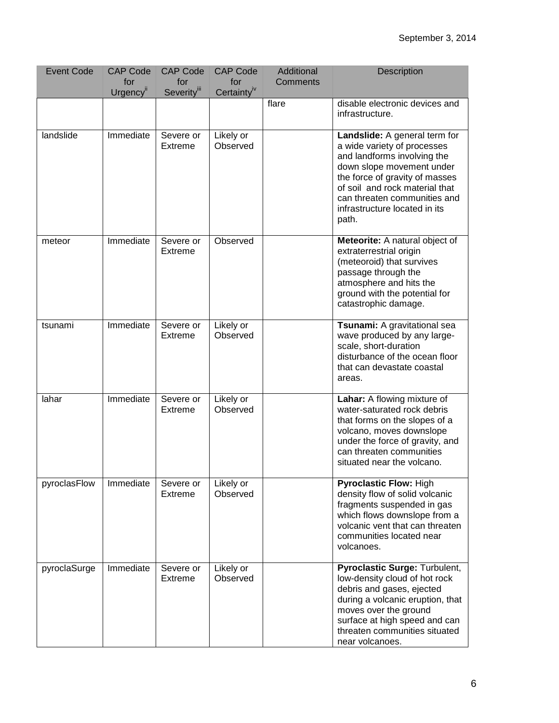<span id="page-7-0"></span>

| <b>Event Code</b> | <b>CAP Code</b>                     | <b>CAP Code</b>             | <b>CAP Code</b>                | Additional      | Description                                                                                                                                                                                                                                                            |
|-------------------|-------------------------------------|-----------------------------|--------------------------------|-----------------|------------------------------------------------------------------------------------------------------------------------------------------------------------------------------------------------------------------------------------------------------------------------|
|                   | for<br><b>Urgency</b> <sup>ii</sup> | for<br>Severityiii          | for<br>Certainty <sup>iv</sup> | <b>Comments</b> |                                                                                                                                                                                                                                                                        |
|                   |                                     |                             |                                | flare           | disable electronic devices and<br>infrastructure.                                                                                                                                                                                                                      |
| landslide         | Immediate                           | Severe or<br>Extreme        | Likely or<br>Observed          |                 | Landslide: A general term for<br>a wide variety of processes<br>and landforms involving the<br>down slope movement under<br>the force of gravity of masses<br>of soil and rock material that<br>can threaten communities and<br>infrastructure located in its<br>path. |
| meteor            | Immediate                           | Severe or<br><b>Extreme</b> | Observed                       |                 | Meteorite: A natural object of<br>extraterrestrial origin<br>(meteoroid) that survives<br>passage through the<br>atmosphere and hits the<br>ground with the potential for<br>catastrophic damage.                                                                      |
| tsunami           | <b>Immediate</b>                    | Severe or<br><b>Extreme</b> | Likely or<br>Observed          |                 | Tsunami: A gravitational sea<br>wave produced by any large-<br>scale, short-duration<br>disturbance of the ocean floor<br>that can devastate coastal<br>areas.                                                                                                         |
| lahar             | Immediate                           | Severe or<br><b>Extreme</b> | Likely or<br>Observed          |                 | Lahar: A flowing mixture of<br>water-saturated rock debris<br>that forms on the slopes of a<br>volcano, moves downslope<br>under the force of gravity, and<br>can threaten communities<br>situated near the volcano.                                                   |
| pyroclasFlow      | Immediate                           | Severe or<br>Extreme        | Likely or<br>Observed          |                 | <b>Pyroclastic Flow: High</b><br>density flow of solid volcanic<br>fragments suspended in gas<br>which flows downslope from a<br>volcanic vent that can threaten<br>communities located near<br>volcanoes.                                                             |
| pyroclaSurge      | Immediate                           | Severe or<br>Extreme        | Likely or<br>Observed          |                 | Pyroclastic Surge: Turbulent,<br>low-density cloud of hot rock<br>debris and gases, ejected<br>during a volcanic eruption, that<br>moves over the ground<br>surface at high speed and can<br>threaten communities situated<br>near volcanoes.                          |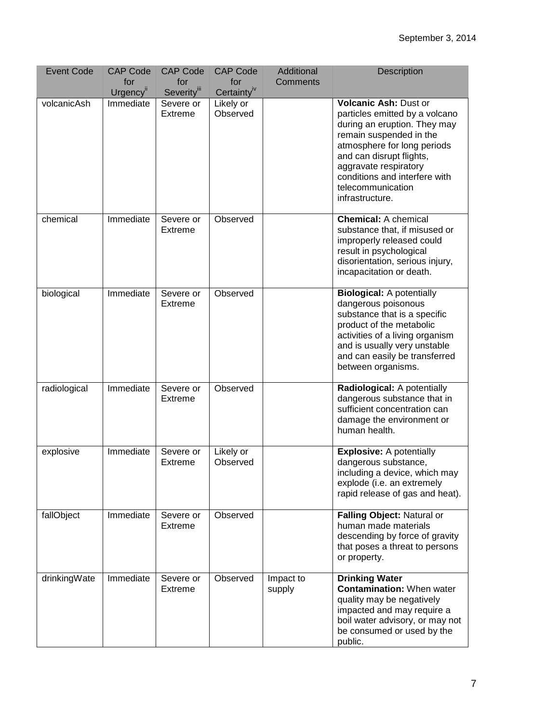| <b>Event Code</b> | <b>CAP Code</b>                     | <b>CAP Code</b>             | <b>CAP Code</b>                | Additional          | <b>Description</b>                                                                                                                                                                                                                                     |
|-------------------|-------------------------------------|-----------------------------|--------------------------------|---------------------|--------------------------------------------------------------------------------------------------------------------------------------------------------------------------------------------------------------------------------------------------------|
|                   | for<br><b>Urgency</b> <sup>ii</sup> | for<br>Severityiii          | for<br>Certainty <sup>iv</sup> | Comments            |                                                                                                                                                                                                                                                        |
| volcanicAsh       | Immediate                           | Severe or                   | Likely or                      |                     | <b>Volcanic Ash: Dust or</b>                                                                                                                                                                                                                           |
|                   |                                     | Extreme                     | Observed                       |                     | particles emitted by a volcano<br>during an eruption. They may<br>remain suspended in the<br>atmosphere for long periods<br>and can disrupt flights,<br>aggravate respiratory<br>conditions and interfere with<br>telecommunication<br>infrastructure. |
| chemical          | Immediate                           | Severe or<br><b>Extreme</b> | Observed                       |                     | <b>Chemical: A chemical</b><br>substance that, if misused or<br>improperly released could<br>result in psychological<br>disorientation, serious injury,<br>incapacitation or death.                                                                    |
| biological        | Immediate                           | Severe or<br><b>Extreme</b> | Observed                       |                     | <b>Biological: A potentially</b><br>dangerous poisonous<br>substance that is a specific<br>product of the metabolic<br>activities of a living organism<br>and is usually very unstable<br>and can easily be transferred<br>between organisms.          |
| radiological      | Immediate                           | Severe or<br>Extreme        | Observed                       |                     | Radiological: A potentially<br>dangerous substance that in<br>sufficient concentration can<br>damage the environment or<br>human health.                                                                                                               |
| explosive         | Immediate                           | Severe or<br>Extreme        | Likely or<br>Observed          |                     | <b>Explosive: A potentially</b><br>dangerous substance,<br>including a device, which may<br>explode (i.e. an extremely<br>rapid release of gas and heat).                                                                                              |
| fallObject        | Immediate                           | Severe or<br><b>Extreme</b> | Observed                       |                     | Falling Object: Natural or<br>human made materials<br>descending by force of gravity<br>that poses a threat to persons<br>or property.                                                                                                                 |
| drinkingWate      | Immediate                           | Severe or<br>Extreme        | Observed                       | Impact to<br>supply | <b>Drinking Water</b><br><b>Contamination: When water</b><br>quality may be negatively<br>impacted and may require a<br>boil water advisory, or may not<br>be consumed or used by the<br>public.                                                       |